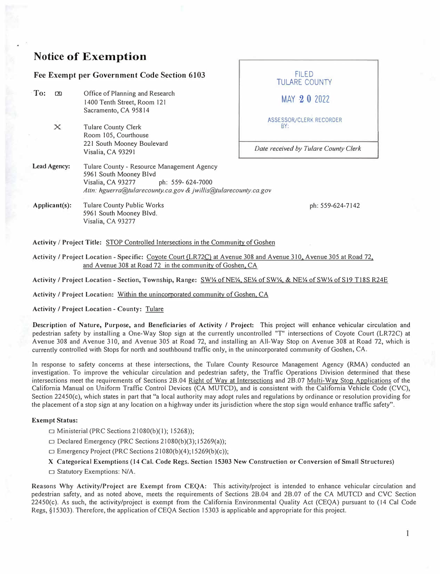## **Notice of Exemption**

|                           | Fee Exempt per Government Code Section 6103                                                                                                                                      | <b>FILED</b><br><b>TULARE COUNTY</b>                                   |  |  |
|---------------------------|----------------------------------------------------------------------------------------------------------------------------------------------------------------------------------|------------------------------------------------------------------------|--|--|
| To:<br>$\alpha$           | Office of Planning and Research<br>1400 Tenth Street, Room 121<br>Sacramento, CA 95814                                                                                           | MAY 20 2022                                                            |  |  |
| $\mathsf{x}$              | <b>Tulare County Clerk</b><br>Room 105, Courthouse<br>221 South Mooney Boulevard<br>Visalia, CA 93291                                                                            | ASSESSOR/CLERK RECORDER<br>BY:<br>Date received by Tulare County Clerk |  |  |
| Lead Agency:              | Tulare County - Resource Management Agency<br>5961 South Mooney Blvd<br>Visalia, CA 93277<br>ph: 559-624-7000<br>Attn: hguerra@tularecounty.ca.gov & jwillis@tularecounty.ca.gov |                                                                        |  |  |
| $\Delta$ pplicant $(s)$ : | <b>Tulare County Public Works</b><br>5961 South Mooney Blvd.<br>Visalia, CA 93277                                                                                                | ph: 559-624-7142                                                       |  |  |

**Activity/ Project Title:** STOP Controlled Intersections in the Community of Goshen

Activity *I* Project Location - Specific: Coyote Court {LR72C) at Avenue 308 and Avenue 310. Avenue 305 at Road 72. and Avenue 308 at Road 72 in the community of Goshen. CA

Activity/ Project Location - Section, Township, Range: SW¼ of NE¼. SE¼ of SW¼. & NE¼ of SW¼ ofSl9 Tl8S R24E

Activity / Project Location: Within the unincorporated community of Goshen, CA

Activity/ Project Location - County: Tulare

Description of Nature, Purpose, and Beneficiaries of Activity / Project: This project will enhance vehicular circulation and pedestrian safety by installing a One-Way Stop sign at the currently uncontrolled "T" intersections of Coyote Court (LR72C) at Avenue 308 and Avenue 310, and Avenue 305 at Road 72, and installing an All-Way Stop on Avenue 308 at Road 72, which is currently controlled with Stops for north and southbound traffic only, in the unincorporated community of Goshen, CA.

In response to safety concerns at these intersections, the Tulare County Resource Management Agency (RMA) conducted an investigation. To improve the vehicular circulation and pedestrian safety, the Traffic Operations Division determined that these intersections meet the requirements of Sections 28.04 Right of Way at Intersections and 2B.07 Multi-Way Stop Applications of the California Manual on Uniform Traffic Control Devices (CA MUTCD), and is consistent with the California Vehicle Code (CVC), Section 22450(c), which states in part that "a local authority may adopt rules and regulations by ordinance or resolution providing for the placement ofa stop sign at any location on a highway under its jurisdiction where the stop sign would enhance traffic safety".

## **Exempt Status:**

- $\Box$  Ministerial (PRC Sections 21080(b)(1); 15268));
- $\Box$  Declared Emergency (PRC Sections 21080(b)(3);15269(a));
- $\Box$  Emergency Project (PRC Sections 21080(b)(4); 15269(b)(c));

## X Categorical Exemptions (14 Cal. Code Regs. Section 15303 New Construction or Conversion of Small Structures)

□ Statutory Exemptions: N/A.

Reasons Why Activity/Project are Exempt from CEQA: This activity/project is intended to enhance vehicular circulation and pedestrian safety, and as noted above, meets the requirements of Sections 28.04 and 28.07 of the CA MUTCD and CVC Section 22450(c). As such, the activity/project is exempt from the California Environmental Quality Act (CEQA) pursuant to (14 Cal Code Regs, §15303). Therefore, the application of CEQA Section 15303 is applicable and appropriate for this project.